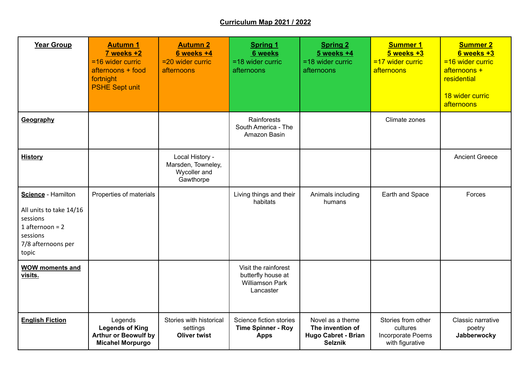## **Curriculum Map 2021 / 2022**

| <b>Year Group</b>                                                                                                         | <b>Autumn 1</b><br>$7$ weeks $+2$<br>=16 wider curric<br>afternoons + food<br>fortnight<br><b>PSHE Sept unit</b> | <b>Autumn 2</b><br>$6$ weeks $+4$<br>$=$ 20 wider curric<br>afternoons | <b>Spring 1</b><br>6 weeks<br>$=$ 18 wider curric<br>afternoons                   | <b>Spring 2</b><br>$5$ weeks $+4$<br>$=$ 18 wider curric<br>afternoons               | <b>Summer 1</b><br>$5$ weeks $+3$<br>$=17$ wider curric<br>afternoons  | <b>Summer 2</b><br>6 weeks +3<br>$= 16$ wider curric<br>afternoons +<br>residential<br>18 wider curric<br>afternoons |
|---------------------------------------------------------------------------------------------------------------------------|------------------------------------------------------------------------------------------------------------------|------------------------------------------------------------------------|-----------------------------------------------------------------------------------|--------------------------------------------------------------------------------------|------------------------------------------------------------------------|----------------------------------------------------------------------------------------------------------------------|
| Geography                                                                                                                 |                                                                                                                  |                                                                        | Rainforests<br>South America - The<br>Amazon Basin                                |                                                                                      | Climate zones                                                          |                                                                                                                      |
| <b>History</b>                                                                                                            |                                                                                                                  | Local History -<br>Marsden, Towneley,<br>Wycoller and<br>Gawthorpe     |                                                                                   |                                                                                      |                                                                        | <b>Ancient Greece</b>                                                                                                |
| Science - Hamilton<br>All units to take 14/16<br>sessions<br>1 afternoon = $2$<br>sessions<br>7/8 afternoons per<br>topic | Properties of materials                                                                                          |                                                                        | Living things and their<br>habitats                                               | Animals including<br>humans                                                          | Earth and Space                                                        | Forces                                                                                                               |
| <b>WOW moments and</b><br>visits.                                                                                         |                                                                                                                  |                                                                        | Visit the rainforest<br>butterfly house at<br><b>Williamson Park</b><br>Lancaster |                                                                                      |                                                                        |                                                                                                                      |
| <b>English Fiction</b>                                                                                                    | Legends<br><b>Legends of King</b><br><b>Arthur or Beowulf by</b><br><b>Micahel Morpurgo</b>                      | Stories with historical<br>settings<br><b>Oliver twist</b>             | Science fiction stories<br><b>Time Spinner - Roy</b><br><b>Apps</b>               | Novel as a theme<br>The invention of<br><b>Hugo Cabret - Brian</b><br><b>Selznik</b> | Stories from other<br>cultures<br>Incorporate Poems<br>with figurative | Classic narrative<br>poetry<br>Jabberwocky                                                                           |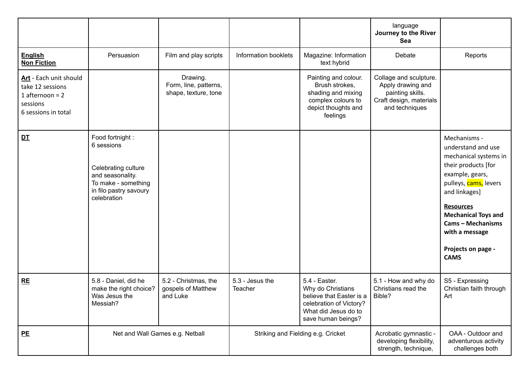|                                                                                                    |                                                                                                                                           |                                                           |                                    |                                                                                                                                         | language<br>Journey to the River<br>Sea                                                                      |                                                                                                                                                                                                                                                                                      |
|----------------------------------------------------------------------------------------------------|-------------------------------------------------------------------------------------------------------------------------------------------|-----------------------------------------------------------|------------------------------------|-----------------------------------------------------------------------------------------------------------------------------------------|--------------------------------------------------------------------------------------------------------------|--------------------------------------------------------------------------------------------------------------------------------------------------------------------------------------------------------------------------------------------------------------------------------------|
| <b>English</b><br><b>Non Fiction</b>                                                               | Persuasion                                                                                                                                | Film and play scripts                                     | Information booklets               | Magazine: Information<br>text hybrid                                                                                                    | Debate                                                                                                       | Reports                                                                                                                                                                                                                                                                              |
| Art - Each unit should<br>take 12 sessions<br>1 afternoon = $2$<br>sessions<br>6 sessions in total |                                                                                                                                           | Drawing.<br>Form, line, patterns,<br>shape, texture, tone |                                    | Painting and colour.<br>Brush strokes,<br>shading and mixing<br>complex colours to<br>depict thoughts and<br>feelings                   | Collage and sculpture.<br>Apply drawing and<br>painting skills.<br>Craft design, materials<br>and techniques |                                                                                                                                                                                                                                                                                      |
| DT                                                                                                 | Food fortnight :<br>6 sessions<br>Celebrating culture<br>and seasonality.<br>To make - something<br>in filo pastry savoury<br>celebration |                                                           |                                    |                                                                                                                                         |                                                                                                              | Mechanisms -<br>understand and use<br>mechanical systems in<br>their products [for<br>example, gears,<br>pulleys, cams, levers<br>and linkages]<br><b>Resources</b><br><b>Mechanical Toys and</b><br><b>Cams - Mechanisms</b><br>with a message<br>Projects on page -<br><b>CAMS</b> |
| RE                                                                                                 | 5.8 - Daniel, did he<br>make the right choice?<br>Was Jesus the<br>Messiah?                                                               | 5.2 - Christmas, the<br>gospels of Matthew<br>and Luke    | 5.3 - Jesus the<br>Teacher         | 5.4 - Easter.<br>Why do Christians<br>believe that Easter is a<br>celebration of Victory?<br>What did Jesus do to<br>save human beings? | 5.1 - How and why do<br>Christians read the<br>Bible?                                                        | S5 - Expressing<br>Christian faith through<br>Art                                                                                                                                                                                                                                    |
| <u>PE</u>                                                                                          | Net and Wall Games e.g. Netball                                                                                                           |                                                           | Striking and Fielding e.g. Cricket |                                                                                                                                         | Acrobatic gymnastic -<br>developing flexibility,<br>strength, technique,                                     | OAA - Outdoor and<br>adventurous activity<br>challenges both                                                                                                                                                                                                                         |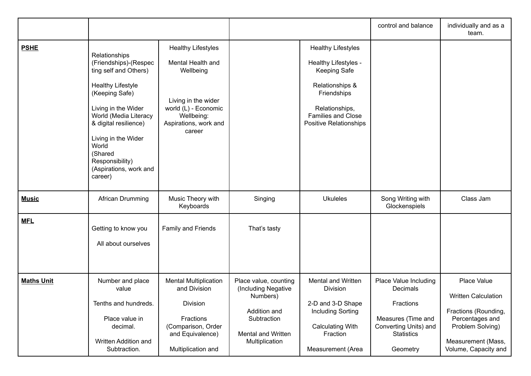|                   |                                                                                                                                                                                                                                                                                           |                                                                                                                                                             |                                                                                                                                        |                                                                                                                                                                                     | control and balance                                                                                                            | individually and as a<br>team.                                                                                                                         |
|-------------------|-------------------------------------------------------------------------------------------------------------------------------------------------------------------------------------------------------------------------------------------------------------------------------------------|-------------------------------------------------------------------------------------------------------------------------------------------------------------|----------------------------------------------------------------------------------------------------------------------------------------|-------------------------------------------------------------------------------------------------------------------------------------------------------------------------------------|--------------------------------------------------------------------------------------------------------------------------------|--------------------------------------------------------------------------------------------------------------------------------------------------------|
| <b>PSHE</b>       | Relationships<br>(Friendships)-(Respec<br>ting self and Others)<br><b>Healthy Lifestyle</b><br>(Keeping Safe)<br>Living in the Wider<br>World (Media Literacy<br>& digital resilience)<br>Living in the Wider<br>World<br>(Shared<br>Responsibility)<br>(Aspirations, work and<br>career) | <b>Healthy Lifestyles</b><br>Mental Health and<br>Wellbeing<br>Living in the wider<br>world (L) - Economic<br>Wellbeing:<br>Aspirations, work and<br>career |                                                                                                                                        | <b>Healthy Lifestyles</b><br>Healthy Lifestyles -<br><b>Keeping Safe</b><br>Relationships &<br>Friendships<br>Relationships,<br><b>Families and Close</b><br>Positive Relationships |                                                                                                                                |                                                                                                                                                        |
| <b>Music</b>      | African Drumming                                                                                                                                                                                                                                                                          | Music Theory with<br>Keyboards                                                                                                                              | Singing                                                                                                                                | <b>Ukuleles</b>                                                                                                                                                                     | Song Writing with<br>Glockenspiels                                                                                             | Class Jam                                                                                                                                              |
| <b>MFL</b>        | Getting to know you<br>All about ourselves                                                                                                                                                                                                                                                | Family and Friends                                                                                                                                          | That's tasty                                                                                                                           |                                                                                                                                                                                     |                                                                                                                                |                                                                                                                                                        |
| <b>Maths Unit</b> | Number and place<br>value<br>Tenths and hundreds.<br>Place value in<br>decimal.<br>Written Addition and<br>Subtraction.                                                                                                                                                                   | <b>Mental Multiplication</b><br>and Division<br>Division<br>Fractions<br>(Comparison, Order<br>and Equivalence)<br>Multiplication and                       | Place value, counting<br>(Including Negative<br>Numbers)<br>Addition and<br>Subtraction<br><b>Mental and Written</b><br>Multiplication | Mental and Written<br>Division<br>2-D and 3-D Shape<br><b>Including Sorting</b><br><b>Calculating With</b><br>Fraction<br>Measurement (Area                                         | Place Value Including<br>Decimals<br>Fractions<br>Measures (Time and<br>Converting Units) and<br><b>Statistics</b><br>Geometry | Place Value<br><b>Written Calculation</b><br>Fractions (Rounding,<br>Percentages and<br>Problem Solving)<br>Measurement (Mass,<br>Volume, Capacity and |